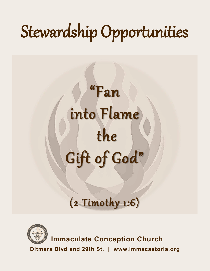# Stewardship Opportunities

# "Fan into Flame the Gift of God"

# (2 Timothy 1:6)



**Immaculate Conception Church**

**Ditmars Blvd and 29th St. www.immacastoria.org**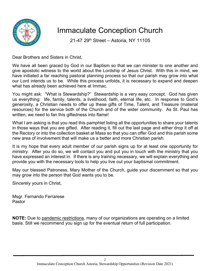

# Immaculate Conception Church

21-47 29<sup>th</sup> Street - Astoria, NY 11105

Dear Brothers and Sisters in Christ,

We have all been graced by God in our Baptism so that we can minister to one another and give apostolic witness to the world about the Lordship of Jesus Christ. With this in mind, we have initiated a far reaching pastoral planning process so that our parish may grow into what our Lord intends us to be. While this process unfolds, it is necessary to expand and deepen what has already been achieved here at Immac.

You might ask: "What is Stewardship?" Stewardship is a very easy concept. God has given us everything: life, family, talents, a livelihood, faith, eternal life, etc. In response to God's generosity, a Christian needs to offer up these gifts of Time, Talent, and Treasure (material resources) for the service both of the Church and of the wider community. As St. Paul has written, we need to fan this giftedness into flame!

What I am asking is that you read this pamphlet listing all the opportunities to share your talents in those ways that you are gifted. After reading it, fill out the last page and either drop it off at the Rectory or into the collection basket at Mass so that you can offer God and this parish some new area of involvement that will make us a better and more Christian parish.

It is my hope that every adult member of our parish signs up for at least one opportunity for ministry. After you do so, we will contact you and put you in touch with the ministry that you have expressed an interest in. If there is any training necessary, we will explain everything and provide you with the necessary tools to help you live out your baptismal commitment.

May our blessed Patroness, Mary Mother of the Church, guide your discernment so that you may grow into the person that God wants you to be.

Sincerely yours in Christ,

Msgr. Fernando Ferrarese Pastor

**NOTE:** Due to pandemic restrictions, many of our organizations are operating on a limited basis. Still we recommend you sign up for the eventual return of full participation.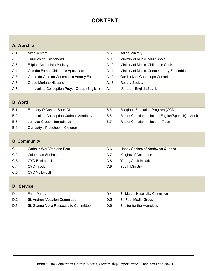# **CONTENT**

# **A. Worship**

| A.1 | <b>Altar Servers</b>                         | A.8  | Italian Ministry                         |
|-----|----------------------------------------------|------|------------------------------------------|
| A.2 | Cursillos de Cristiandad                     | A.9  | Ministry of Music: Adult Choir           |
| A.3 | <b>Filipino Apostolate Ministry</b>          | A.10 | Ministry of Music: Children's Choir      |
| A.4 | God the Father Children's Apostolate         | A.11 | Ministry of Music: Contemporary Ensemble |
| A.5 | Grupo de Oración Carismático Amor y Fé       | A.12 | Our Lady of Guadalupe Committee          |
| A.6 | Grupo Mariano Hispano                        | A.13 | <b>Rosary Society</b>                    |
| A.7 | Immaculate Conception Prayer Group (English) | A.14 | Ushers - English/Spanish                 |
|     |                                              |      |                                          |

### **B. Word**

| B.1        | Flannery O'Connor Book Club            | B.5        | Religious Education Program (CCD)                       |
|------------|----------------------------------------|------------|---------------------------------------------------------|
| B.2        | Immaculate Conception Catholic Academy | B.6        | Rite of Christian Initiation (English/Spanish) – Adults |
| <b>B.3</b> | Jornada Group / Jornadistas            | <b>B.7</b> | Rite of Christian Initiation – Teen                     |
| <b>B.4</b> | Our Lady's Preschool - Children        |            |                                                         |

# **C. Community**

| C.1 | Catholic War Veterans Post 1 | C.6 | Happy Seniors of Northwest Queens |
|-----|------------------------------|-----|-----------------------------------|
| C.2 | <b>Columbian Squires</b>     | C.7 | <b>Knights of Columbus</b>        |
| C.3 | <b>CYO Basketball</b>        | C.8 | Young Adult Initiative            |
| C.4 | CYO Track                    | C.9 | Youth Ministry                    |
| C.5 | <b>CYO Volleyball</b>        |     |                                   |

# **D. Service**

| D.1 | Food Pantry                             | D.4 | St. Martha Hospitality Committee |
|-----|-----------------------------------------|-----|----------------------------------|
| D.2 | St. Andrew Vocation Committee           | D.5 | St. Paul Media Group             |
| D.3 | St. Gianna Molla Respect Life Committee | D.6 | Shelter for the Homeless         |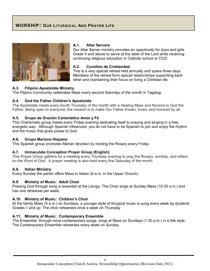# **WORSHIP: OUR LITURGICAL AND PRAYER LIFE**



#### **A.1. Altar Servers**

Our Altar Server ministry provides an opportunity for boys and girls Grade 5 and above to serve at the table of the Lord while receiving continuing religious education in Catholic school or CCD.

#### **A.2. Cursillos de Cristiandad**

This is a very special retreat held annually and spans three days. Members of the retreat form special relationships supporting each other and maintaining their focus on living a Christian life.

#### **A.3. Filipino Apostolate Ministry**

The Filipino Community celebrates Mass every second Saturday of the month in Tagalog.

#### **A.4. God the Father Children's Apostolate**

The Apostolate meets every fourth Thursday of the month with a Healing Mass and Novena to God the Father. Being open to everyone, the mission is to make Our Father known, loved, and honored by all.

#### **A.5. Grupo de Oración Carismático Amor y Fé**

This Charismatic group meets every Friday evening dedicating itself to praying and singing in a free, energetic way. Although Spanish influenced, you do not have to be Spanish to join and enjoy the rhythm and the music that gives praise to God.

#### **A.6. Grupo Mariano Hispano**

This Spanish group promotes Marian devotion by reciting the Rosary every Friday.

#### **A.7. Immaculate Conception Prayer Group (English)**

This Prayer Group gathers for a meeting every Thursday evening to pray the Rosary, worship, and reflect on the Word of God. A prayer meeting is also held every first Saturday of the month

#### **A.8. Italian Ministry**

Every Sunday the parish offers Mass in Italian (8 a.m. in the Upper Church).

#### **A.9. Ministry of Music: Adult Choir**

Praising God through song is essential at the Liturgy. The Choir sings at Sunday Mass (10:30 a.m.) and has one rehearsal per week.

#### **A.10. Ministry of Music: Children's Choir**

At the family Mass (9 a.m.) on Sundays, a younger style of liturgical music is sung every week by students Grades 1 and up. The choir rehearses once a week on Thursday.

#### **A.11. Ministry of Music: Contemporary Ensemble**

The Ensemble, through more contemporary songs, sings at Mass on Sundays (1:30 p.m.) in a folk style. The Contemporary Ensemble rehearses every week on Sunday.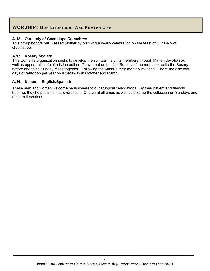# **WORSHIP: OUR LITURGICAL AND PRAYER LIFE**

#### **A.12. Our Lady of Guadalupe Committee**

This group honors our Blessed Mother by planning a yearly celebration on the feast of Our Lady of Guadalupe.

#### **A.13. Rosary Society**

This women's organization seeks to develop the spiritual life of its members through Marian devotion as well as opportunities for Christian action. They meet on the first Sunday of the month to recite the Rosary before attending Sunday Mass together. Following the Mass is their monthly meeting. There are also two days of reflection per year on a Saturday in October and March.

#### **A.14. Ushers – English/Spanish**

These men and women welcome parishioners to our liturgical celebrations. By their patient and friendly bearing, they help maintain a reverence in Church at all times as well as take up the collection on Sundays and major celebrations.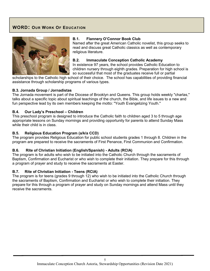# **WORD: OUR WORK OF EDUCATION**



#### **B.1. Flannery O'Connor Book Club**

Named after the great American Catholic novelist, this group seeks to read and discuss great Catholic classics as well as contemporary religious literature.

#### **B.2. Immaculate Conception Catholic Academy**

In existence 97 years, the school provides Catholic Education to children nursery through eighth grades. Preparation for high school is so successful that most of the graduates receive full or partial

scholarships to the Catholic high school of their choice. The school has capabilities of providing financial assistance through scholarship programs of various types.

#### **B.3. Jornada Group / Jornadistas**

The Jornada movement is part of the Diocese of Brooklyn and Queens. This group holds weekly "charlas," talks about a specific topic about spiritual teachings of the church, the Bible, and life issues to a new and fun perspective lead by its own members keeping the motto: "Youth Evangelizing Youth."

#### **B.4. Our Lady's Preschool – Children**

This preschool program is designed to introduce the Catholic faith to children aged 3 to 5 through age appropriate lessons on Sunday mornings and providing opportunity for parents to attend Sunday Mass while their child is in class.

#### **B.5. Religious Education Program (a/k/a CCD)**

The program provides Religious Education for public school students grades 1 through 8. Children in the program are prepared to receive the sacraments of First Penance, First Communion and Confirmation.

#### **B.6. Rite of Christian Initiation (English/Spanish) - Adults (RCIA)**

The program is for adults who wish to be initiated into the Catholic Church through the sacraments of Baptism, Confirmation and Eucharist or who wish to complete their initiation. They prepare for this through a program of prayer and study to receive the sacraments at Easter.

#### **B.7. Rite of Christian Initiation - Teens (RCIA)**

The program is for teens (grades 9 through 12) who wish to be initiated into the Catholic Church through the sacraments of Baptism, Confirmation and Eucharist or who wish to complete their initiation. They prepare for this through a program of prayer and study on Sunday mornings and attend Mass until they receive the sacraments.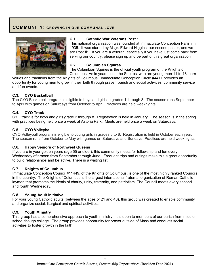## **COMMUNITY: GROWING IN OUR COMMUNAL LOVE**



#### **C.1. Catholic War Veterans Post 1**

This national organization was founded at Immaculate Conception Parish in 1935. It was started by Msgr. Edward Higgins, our second pastor, and we are Post #1. If you are a veteran, especially if you have just come back from serving our country, please sign up and be part of this great organization.

#### **C.2. Columbian Squires**

The Columbian Squires is the official youth program of the Knights of Columbus. As in years past, the Squires, who are young men 11 to 18 learn

values and traditions from the Knights of Columbus. Immaculate Conception Circle #4411 provides an opportunity for young men to grow in their faith through prayer, parish and social activities, community service and fun events. .

#### **C.3. CYO Basketball**

The CYO Basketball program is eligible to boys and girls in grades 1 through 8. The season runs September to April with games on Saturdays from October to April. Practices are held weeknights.

#### **C.4. CYO Track**

CYO track is for boys and girls grade 2 through 8. Registration is held in January. The season is in the spring with practices being held once a week at Astoria Park. Meets are held once a week on Saturdays.

#### **C.5. CYO Volleyball**

CYO Volleyball program is eligible to young girls in grades 3 to 8. Registration is held in October each year. The season runs from October to May with games on Saturdays and Sundays. Practices are held weeknights.

#### **C.6. Happy Seniors of Northwest Queens**

If you are in your golden years (age 55 or older), this community meets for fellowship and fun every Wednesday afternoon from September through June. Frequent trips and outings make this a great opportunity to build relationships and be active. There is a waiting list.

#### **C.7. Knights of Columbus**

Immaculate Conception Council #11449, of the Knights of Columbus, is one of the most highly ranked Councils in the country. The Knights of Columbus is the largest international fraternal organization of Roman Catholic laymen that promotes the ideals of charity, unity, fraternity, and patriotism. The Council meets every second and fourth Wednesday.

#### **C.8. Young Adult Initiative**

For your young Catholic adults (between the ages of 21 and 40), this group was created to enable community and organize social, liturgical and spiritual activities.

#### **C.9. Youth Ministry**

This group has a comprehensive approach to youth ministry. It is open to members of our parish from middle school though college. The group provides opportunity for prayer outside of Mass and conducts social activities to foster growth in the faith.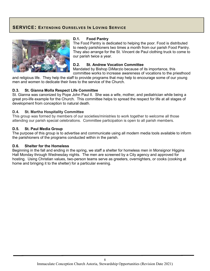## **SERVICE: EXTENDING OURSELVES IN LOVING SERVICE**



#### **D.1. Food Pantry**

The Food Pantry is dedicated to helping the poor. Food is distributed to needy parishioners two times a month from our parish Food Pantry. They also arrange for the St. Vincent de Paul clothing truck to come to our parish twice a year.

#### **D.2. St. Andrew Vocation Committee**

Mandated by Bishop DiMarzio because of its importance, this committee works to increase awareness of vocations to the priesthood

and religious life. They help the staff to provide programs that may help to encourage some of our young men and women to dedicate their lives to the service of the Church.

#### **D.3. St. Gianna Molla Respect Life Committee**

St. Gianna was canonized by Pope John Paul II. She was a wife, mother, and pediatrician while being a great pro-life example for the Church. This committee helps to spread the respect for life at all stages of development from conception to natural death.

#### **D.4. St. Martha Hospitality Committee**

This group was formed by members of our societies/ministries to work together to welcome all those attending our parish special celebrations. Committee participation is open to all parish members.

#### **D.5. St. Paul Media Group**

The purpose of this group is to advertise and communicate using all modern media tools available to inform the parishioners of the programs conducted within in the parish.

#### **D.6. Shelter for the Homeless**

Beginning in the fall and ending in the spring, we staff a shelter for homeless men in Monsignor Higgins Hall Monday through Wednesday nights. The men are screened by a City agency and approved for hosting. Using Christian values, two-person teams serve as greeters, overnighters, or cooks (cooking at home and bringing it to the shelter) for a particular evening.